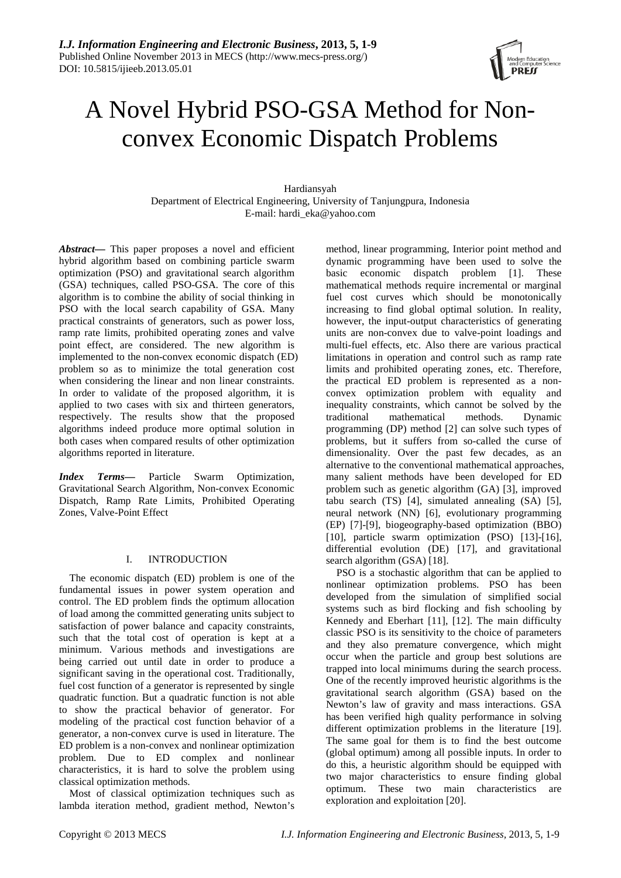

# A Novel Hybrid PSO-GSA Method for Nonconvex Economic Dispatch Problems

Hardiansyah Department of Electrical Engineering, University of Tanjungpura, Indonesia E-mail: hardi\_eka@yahoo.com

*Abstract***—** This paper proposes a novel and efficient hybrid algorithm based on combining particle swarm optimization (PSO) and gravitational search algorithm (GSA) techniques, called PSO-GSA. The core of this algorithm is to combine the ability of social thinking in PSO with the local search capability of GSA. Many practical constraints of generators, such as power loss, ramp rate limits, prohibited operating zones and valve point effect, are considered. The new algorithm is implemented to the non-convex economic dispatch (ED) problem so as to minimize the total generation cost when considering the linear and non linear constraints. In order to validate of the proposed algorithm, it is applied to two cases with six and thirteen generators, respectively. The results show that the proposed algorithms indeed produce more optimal solution in both cases when compared results of other optimization algorithms reported in literature.

*Index Terms***—** Particle Swarm Optimization, Gravitational Search Algorithm, Non-convex Economic Dispatch, Ramp Rate Limits, Prohibited Operating Zones, Valve-Point Effect

# I. INTRODUCTION

The economic dispatch (ED) problem is one of the fundamental issues in power system operation and control. The ED problem finds the optimum allocation of load among the committed generating units subject to satisfaction of power balance and capacity constraints, such that the total cost of operation is kept at a minimum. Various methods and investigations are being carried out until date in order to produce a significant saving in the operational cost. Traditionally, fuel cost function of a generator is represented by single quadratic function. But a quadratic function is not able to show the practical behavior of generator. For modeling of the practical cost function behavior of a generator, a non-convex curve is used in literature. The ED problem is a non-convex and nonlinear optimization problem. Due to ED complex and nonlinear characteristics, it is hard to solve the problem using classical optimization methods.

Most of classical optimization techniques such as lambda iteration method, gradient method, Newton's

method, linear programming, Interior point method and dynamic programming have been used to solve the basic economic dispatch problem [1]. These mathematical methods require incremental or marginal fuel cost curves which should be monotonically increasing to find global optimal solution. In reality, however, the input-output characteristics of generating units are non-convex due to valve-point loadings and multi-fuel effects, etc. Also there are various practical limitations in operation and control such as ramp rate limits and prohibited operating zones, etc. Therefore, the practical ED problem is represented as a nonconvex optimization problem with equality and inequality constraints, which cannot be solved by the traditional mathematical methods. Dynamic traditional mathematical methods. Dynamic programming (DP) method [2] can solve such types of problems, but it suffers from so-called the curse of dimensionality. Over the past few decades, as an alternative to the conventional mathematical approaches, many salient methods have been developed for ED problem such as genetic algorithm (GA) [3], improved tabu search (TS) [4], simulated annealing (SA) [5], neural network (NN) [6], evolutionary programming (EP) [7]-[9], biogeography-based optimization (BBO) [10], particle swarm optimization (PSO) [13]-[16], differential evolution (DE) [17], and gravitational search algorithm (GSA) [18].

PSO is a stochastic algorithm that can be applied to nonlinear optimization problems. PSO has been developed from the simulation of simplified social systems such as bird flocking and fish schooling by Kennedy and Eberhart [11], [12]. The main difficulty classic PSO is its sensitivity to the choice of parameters and they also premature convergence, which might occur when the particle and group best solutions are trapped into local minimums during the search process. One of the recently improved heuristic algorithms is the gravitational search algorithm (GSA) based on the Newton's law of gravity and mass interactions. GSA has been verified high quality performance in solving different optimization problems in the literature [19]. The same goal for them is to find the best outcome (global optimum) among all possible inputs. In order to do this, a heuristic algorithm should be equipped with two major characteristics to ensure finding global optimum. These two main characteristics are exploration and exploitation [20].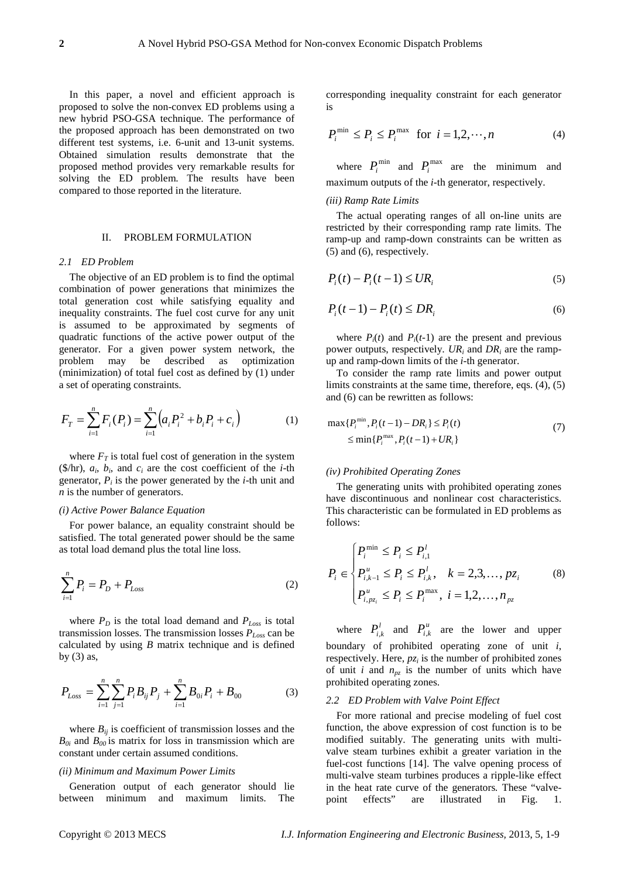In this paper, a novel and efficient approach is proposed to solve the non-convex ED problems using a new hybrid PSO-GSA technique. The performance of the proposed approach has been demonstrated on two different test systems, i.e. 6-unit and 13-unit systems. Obtained simulation results demonstrate that the proposed method provides very remarkable results for solving the ED problem. The results have been compared to those reported in the literature.

# II. PROBLEM FORMULATION

#### *2.1 ED Problem*

The objective of an ED problem is to find the optimal combination of power generations that minimizes the total generation cost while satisfying equality and inequality constraints. The fuel cost curve for any unit is assumed to be approximated by segments of quadratic functions of the active power output of the generator. For a given power system network, the problem may be described as optimization (minimization) of total fuel cost as defined by (1) under a set of operating constraints.

$$
F_T = \sum_{i=1}^n F_i(P_i) = \sum_{i=1}^n \left( a_i P_i^2 + b_i P_i + c_i \right)
$$
 (1)

where  $F_T$  is total fuel cost of generation in the system ( $\frac{\delta}{\ln n}$ ,  $a_i$ ,  $b_i$ , and  $c_i$  are the cost coefficient of the *i*-th generator,  $P_i$  is the power generated by the  $i$ -th unit and *n* is the number of generators.

# *(i) Active Power Balance Equation*

For power balance, an equality constraint should be satisfied. The total generated power should be the same as total load demand plus the total line loss.

$$
\sum_{i=1}^{n} P_i = P_D + P_{Loss}
$$
 (2)

where  $P_D$  is the total load demand and  $P_{Loss}$  is total transmission losses. The transmission losses *PLoss* can be calculated by using *B* matrix technique and is defined by  $(3)$  as,

$$
P_{Loss} = \sum_{i=1}^{n} \sum_{j=1}^{n} P_i B_{ij} P_j + \sum_{i=1}^{n} B_{0i} P_i + B_{00}
$$
 (3)

where  $B_{ij}$  is coefficient of transmission losses and the  $B_{0i}$  and  $B_{00}$  is matrix for loss in transmission which are constant under certain assumed conditions.

#### *(ii) Minimum and Maximum Power Limits*

Generation output of each generator should lie between minimum and maximum limits. The

corresponding inequality constraint for each generator is

$$
P_i^{\min} \le P_i \le P_i^{\max} \quad \text{for} \quad i = 1, 2, \cdots, n \tag{4}
$$

where  $P_i^{\min}$  and  $P_i^{\max}$  are the minimum and maximum outputs of the *i-*th generator, respectively.

#### *(iii) Ramp Rate Limits*

The actual operating ranges of all on-line units are restricted by their corresponding ramp rate limits. The ramp-up and ramp-down constraints can be written as (5) and (6), respectively.

$$
P_i(t) - P_i(t-1) \leq UR_i \tag{5}
$$

$$
P_i(t-1) - P_i(t) \leq DR_i \tag{6}
$$

where  $P_i(t)$  and  $P_i(t-1)$  are the present and previous power outputs, respectively. *URi* and *DRi* are the rampup and ramp-down limits of the *i-*th generator.

To consider the ramp rate limits and power output limits constraints at the same time, therefore, eqs. (4), (5) and (6) can be rewritten as follows:

$$
\max\{P_i^{\min}, P_i(t-1) - DR_i\} \le P_i(t)
$$
  
\n
$$
\le \min\{P_i^{\max}, P_i(t-1) + UR_i\}
$$
\n(7)

## *(iv) Prohibited Operating Zones*

The generating units with prohibited operating zones have discontinuous and nonlinear cost characteristics. This characteristic can be formulated in ED problems as follows:

$$
P_i \in \begin{cases} P_i^{\min} \le P_i \le P_{i,1}^l \\ P_{i,k-1}^u \le P_i \le P_{i,k}^l, & k = 2,3,\dots, pz_i \\ P_{i,pz_i}^u \le P_i \le P_i^{\max}, & i = 1,2,\dots, n_{pz} \end{cases} \tag{8}
$$

where  $P_{i,k}^l$  and  $P_{i,k}^u$  are the lower and upper boundary of prohibited operating zone of unit *i*, respectively. Here,  $p_{\zeta_i}$  is the number of prohibited zones of unit *i* and  $n_{pz}$  is the number of units which have prohibited operating zones.

## *2.2 ED Problem with Valve Point Effect*

For more rational and precise modeling of fuel cost function, the above expression of cost function is to be modified suitably. The generating units with multivalve steam turbines exhibit a greater variation in the fuel-cost functions [14]. The valve opening process of multi-valve steam turbines produces a ripple-like effect in the heat rate curve of the generators*.* These "valvepoint effects" are illustrated in Fig. 1.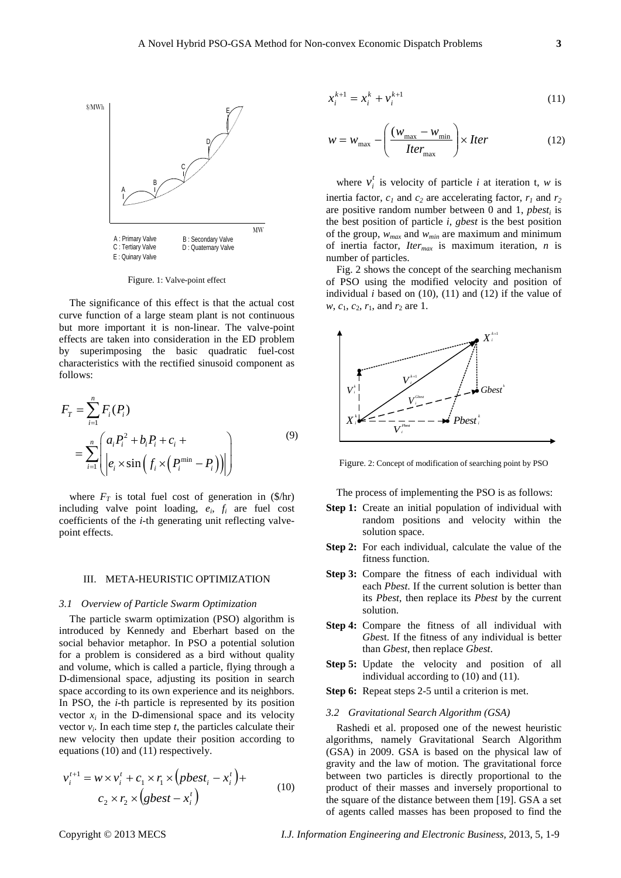

Figure. 1: Valve-point effect

The significance of this effect is that the actual cost curve function of a large steam plant is not continuous but more important it is non-linear. The valve-point effects are taken into consideration in the ED problem by superimposing the basic quadratic fuel-cost characteristics with the rectified sinusoid component as follows:

$$
F_{T} = \sum_{i=1}^{n} F_{i}(P_{i})
$$
  
= 
$$
\sum_{i=1}^{n} \left( a_{i} P_{i}^{2} + b_{i} P_{i} + c_{i} + \left| e_{i} \times \sin \left( f_{i} \times \left( P_{i}^{\min} - P_{i} \right) \right) \right| \right)
$$
 (9)

where  $F_T$  is total fuel cost of generation in  $(\frac{1}{2}$ hr) including valve point loading,  $e_i$ ,  $f_i$  are fuel cost coefficients of the *i-*th generating unit reflecting valvepoint effects.

#### III. META-HEURISTIC OPTIMIZATION

## *3.1 Overview of Particle Swarm Optimization*

The particle swarm optimization (PSO) algorithm is introduced by Kennedy and Eberhart based on the social behavior metaphor. In PSO a potential solution for a problem is considered as a bird without quality and volume, which is called a particle, flying through a D-dimensional space, adjusting its position in search space according to its own experience and its neighbors. In PSO, the *i-*th particle is represented by its position vector  $x_i$  in the D-dimensional space and its velocity vector  $v_i$ . In each time step  $t$ , the particles calculate their new velocity then update their position according to equations (10) and (11) respectively.

$$
v_i^{t+1} = w \times v_i^t + c_1 \times r_1 \times (pbest_i - x_i^t) + c_2 \times r_2 \times (gbest - x_i^t)
$$
\n
$$
(10)
$$

$$
x_i^{k+1} = x_i^k + v_i^{k+1}
$$
 (11)

$$
w = w_{\text{max}} - \left(\frac{(w_{\text{max}} - w_{\text{min}})}{Iter}\right) \times Iter \tag{12}
$$

where  $v_i^t$  is velocity of particle *i* at iteration t, *w* is inertia factor,  $c_1$  and  $c_2$  are accelerating factor,  $r_1$  and  $r_2$ are positive random number between  $0$  and  $1$ , *pbest<sub>i</sub>* is the best position of particle *i*, *gbest* is the best position of the group, *wmax* and *wmin* are maximum and minimum of inertia factor, *Itermax* is maximum iteration, *n* is number of particles.

Fig. 2 shows the concept of the searching mechanism of PSO using the modified velocity and position of individual  $i$  based on  $(10)$ ,  $(11)$  and  $(12)$  if the value of *w*, *c*<sub>1</sub>, *c*<sub>2</sub>, *r*<sub>1</sub>, and *r*<sub>2</sub> are 1.



Figure. 2: Concept of modification of searching point by PSO

The process of implementing the PSO is as follows:

- **Step 1:** Create an initial population of individual with random positions and velocity within the solution space.
- **Step 2:** For each individual, calculate the value of the fitness function.
- **Step 3:** Compare the fitness of each individual with each *Pbest*. If the current solution is better than its *Pbest*, then replace its *Pbest* by the current solution.
- **Step 4:** Compare the fitness of all individual with *Gbes*t. If the fitness of any individual is better than *Gbest*, then replace *Gbest*.
- **Step 5:** Update the velocity and position of all individual according to (10) and (11).
- **Step 6:** Repeat steps 2-5 until a criterion is met.
- *3.2 Gravitational Search Algorithm (GSA)*

Rashedi et al. proposed one of the newest heuristic algorithms, namely Gravitational Search Algorithm (GSA) in 2009. GSA is based on the physical law of gravity and the law of motion. The gravitational force between two particles is directly proportional to the product of their masses and inversely proportional to the square of the distance between them [19]. GSA a set of agents called masses has been proposed to find the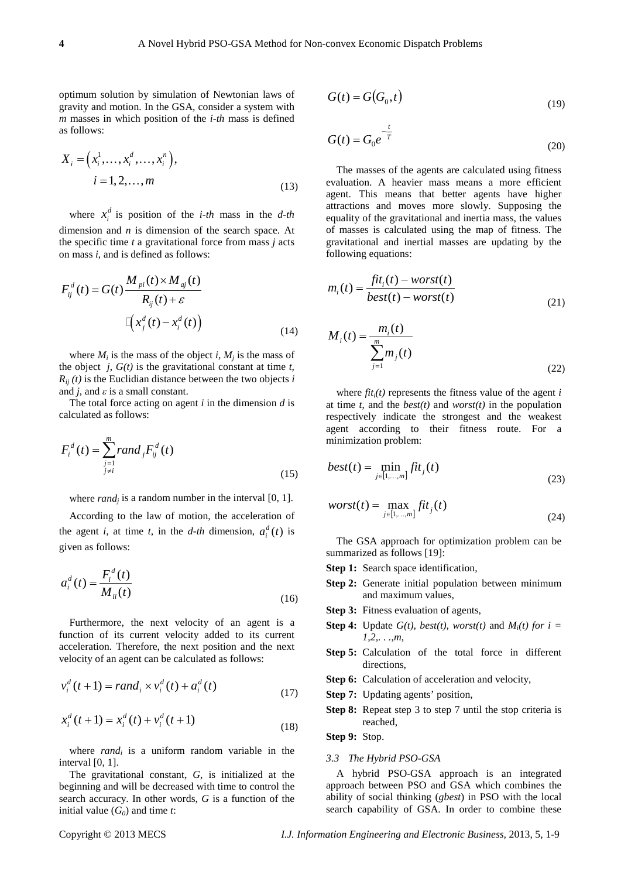optimum solution by simulation of Newtonian laws of gravity and motion. In the GSA, consider a system with *m* masses in which position of the *i-th* mass is defined as follows:

$$
X_{i} = (x_{i}^{1}, \dots, x_{i}^{d}, \dots, x_{i}^{n}),
$$
  
\n
$$
i = 1, 2, \dots, m
$$
 (13)

where  $x_i^d$  is position of the *i-th* mass in the *d-th* dimension and *n* is dimension of the search space. At the specific time *t* a gravitational force from mass *j* acts on mass *i*, and is defined as follows:

$$
F_{ij}^{d}(t) = G(t) \frac{M_{pi}(t) \times M_{aj}(t)}{R_{ij}(t) + \varepsilon}
$$

$$
\mathbb{E}\left(x_j^{d}(t) - x_i^{d}(t)\right) \tag{14}
$$

where  $M_i$  is the mass of the object *i*,  $M_i$  is the mass of the object  $j$ ,  $G(t)$  is the gravitational constant at time  $t$ ,  $R_{ij}(t)$  is the Euclidian distance between the two objects *i* and *j*, and  $\varepsilon$  is a small constant.

The total force acting on agent *i* in the dimension *d* is calculated as follows:

$$
F_i^d(t) = \sum_{\substack{j=1 \ j \neq i}}^m \text{rand}_j F_{ij}^d(t)
$$
\n(15)

where  $rand_i$  is a random number in the interval [0, 1].

According to the law of motion, the acceleration of the agent *i*, at time *t*, in the *d-th* dimension,  $a_i^d(t)$  is given as follows:

$$
a_i^d(t) = \frac{F_i^d(t)}{M_{ii}(t)}
$$
\n(16)

Furthermore, the next velocity of an agent is a function of its current velocity added to its current acceleration. Therefore, the next position and the next velocity of an agent can be calculated as follows:

$$
v_i^d(t+1) = rand_i \times v_i^d(t) + a_i^d(t)
$$
\n(17)

$$
x_i^d(t+1) = x_i^d(t) + v_i^d(t+1)
$$
\n(18)

where *rand<sub>i</sub>* is a uniform random variable in the interval [0, 1].

The gravitational constant, *G*, is initialized at the beginning and will be decreased with time to control the search accuracy. In other words, *G* is a function of the initial value  $(G_0)$  and time *t*:

$$
G(t) = G(G_0, t) \tag{19}
$$

$$
G(t) = G_0 e^{-\frac{t}{T}}
$$
\n
$$
(20)
$$

The masses of the agents are calculated using fitness evaluation. A heavier mass means a more efficient agent. This means that better agents have higher attractions and moves more slowly. Supposing the equality of the gravitational and inertia mass, the values of masses is calculated using the map of fitness. The gravitational and inertial masses are updating by the following equations:

$$
m_i(t) = \frac{fit_i(t) - worst(t)}{best(t) - worst(t)}
$$
\n(21)

$$
M_{i}(t) = \frac{m_{i}(t)}{\sum_{j=1}^{m} m_{j}(t)}
$$
\n(22)

where  $fit<sub>i</sub>(t)$  represents the fitness value of the agent *i* at time *t*, and the *best(t)* and *worst(t)* in the population respectively indicate the strongest and the weakest agent according to their fitness route. For a minimization problem:

$$
best(t) = \min_{j \in [1,...,m]} fit_j(t)
$$
\n(23)

$$
worst(t) = \max_{j \in [1,...,m]} fit_j(t)
$$
\n(24)

The GSA approach for optimization problem can be summarized as follows [19]:

- **Step 1:** Search space identification,
- **Step 2:** Generate initial population between minimum and maximum values,
- **Step 3:** Fitness evaluation of agents,
- **Step 4:** Update  $G(t)$ , best(t), worst(t) and  $M_i(t)$  for  $i =$ *1,2,. . .,m*,
- **Step 5:** Calculation of the total force in different directions,
- **Step 6:** Calculation of acceleration and velocity,
- **Step 7:** Updating agents' position,
- **Step 8:** Repeat step 3 to step 7 until the stop criteria is reached,

**Step 9:** Stop.

## *3.3 The Hybrid PSO-GSA*

A hybrid PSO-GSA approach is an integrated approach between PSO and GSA which combines the ability of social thinking (*gbest*) in PSO with the local search capability of GSA. In order to combine these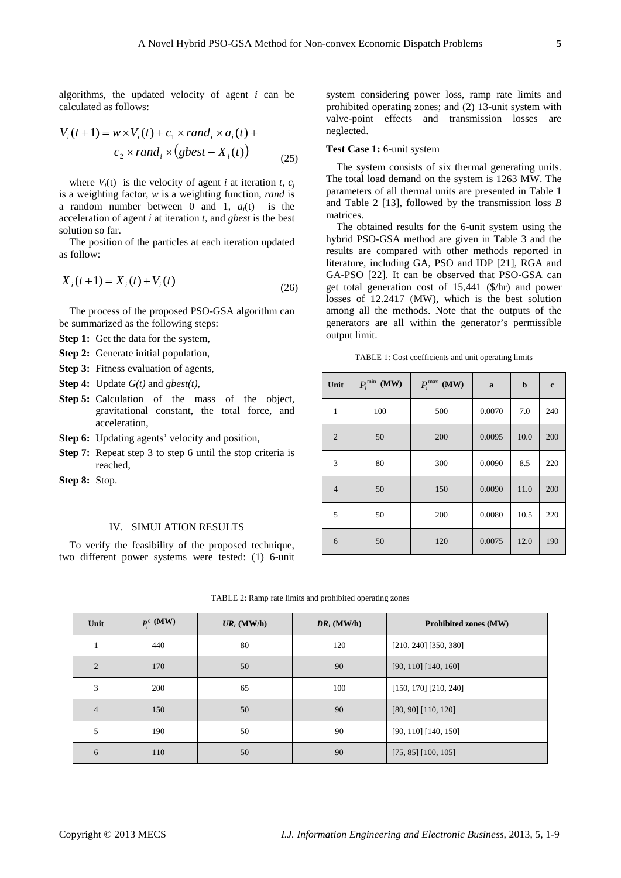algorithms, the updated velocity of agent *i* can be calculated as follows:

$$
V_i(t+1) = w \times V_i(t) + c_1 \times rand_i \times a_i(t) + c_2 \times rand_i \times (gbest - X_i(t))
$$
\n
$$
(25)
$$

where  $V_i(t)$  is the velocity of agent *i* at iteration *t*,  $c_i$ is a weighting factor, *w* is a weighting function, *rand* is a random number between 0 and 1,  $a_i(t)$  is the acceleration of agent *i* at iteration *t*, and *gbest* is the best solution so far.

The position of the particles at each iteration updated as follow:

$$
X_i(t+1) = X_i(t) + V_i(t)
$$
\n(26)

The process of the proposed PSO-GSA algorithm can be summarized as the following steps:

**Step 1:** Get the data for the system,

**Step 2:** Generate initial population,

**Step 3:** Fitness evaluation of agents,

**Step 4:** Update *G(t)* and *gbest(t)*,

- **Step 5:** Calculation of the mass of the object, gravitational constant, the total force, and acceleration,
- **Step 6:** Updating agents' velocity and position,
- **Step 7:** Repeat step 3 to step 6 until the stop criteria is reached,

**Step 8:** Stop.

## IV. SIMULATION RESULTS

To verify the feasibility of the proposed technique, two different power systems were tested: (1) 6-unit system considering power loss, ramp rate limits and prohibited operating zones; and (2) 13-unit system with valve-point effects and transmission losses are neglected.

## **Test Case 1:** 6-unit system

The system consists of six thermal generating units. The total load demand on the system is 1263 MW. The parameters of all thermal units are presented in Table 1 and Table 2 [13], followed by the transmission loss *B*  matrices.

The obtained results for the 6-unit system using the hybrid PSO-GSA method are given in Table 3 and the results are compared with other methods reported in literature, including GA, PSO and IDP [21], RGA and GA-PSO [22]. It can be observed that PSO-GSA can get total generation cost of 15,441 (\$/hr) and power losses of 12.2417 (MW), which is the best solution among all the methods. Note that the outputs of the generators are all within the generator's permissible output limit.

TABLE 1: Cost coefficients and unit operating limits

| Unit           | $P_i^{\min}$ (MW) | $P_i^{\max}$ (MW) | a      | $\mathbf b$ | $\mathbf c$ |
|----------------|-------------------|-------------------|--------|-------------|-------------|
| $\mathbf{1}$   | 100               | 500               | 0.0070 | 7.0         | 240         |
| $\overline{2}$ | 50                | 200               | 0.0095 | 10.0        | 200         |
| 3              | 80                | 300               | 0.0090 | 8.5         | 220         |
| $\overline{4}$ | 50                | 150               | 0.0090 | 11.0        | 200         |
| 5              | 50                | 200               | 0.0080 | 10.5        | 220         |
| 6              | 50                | 120               | 0.0075 | 12.0        | 190         |

| TABLE 2: Ramp rate limits and prohibited operating zones |  |
|----------------------------------------------------------|--|
|----------------------------------------------------------|--|

| Unit           | $P_i^0$ (MW) | $UR_i$ (MW/h) | $DR_i$ (MW/h) | <b>Prohibited zones (MW)</b> |
|----------------|--------------|---------------|---------------|------------------------------|
|                | 440          | 80            | 120           | $[210, 240]$ [350, 380]      |
| $\mathfrak{D}$ | 170          | 50            | 90            | $[90, 110]$ [140, 160]       |
| 3              | 200          | 65            | 100           | $[150, 170]$ $[210, 240]$    |
| $\overline{4}$ | 150          | 50            | 90            | $[80, 90]$ $[110, 120]$      |
| 5              | 190          | 50            | 90            | $[90, 110]$ $[140, 150]$     |
| 6              | 110          | 50            | 90            | $[75, 85]$ [100, 105]        |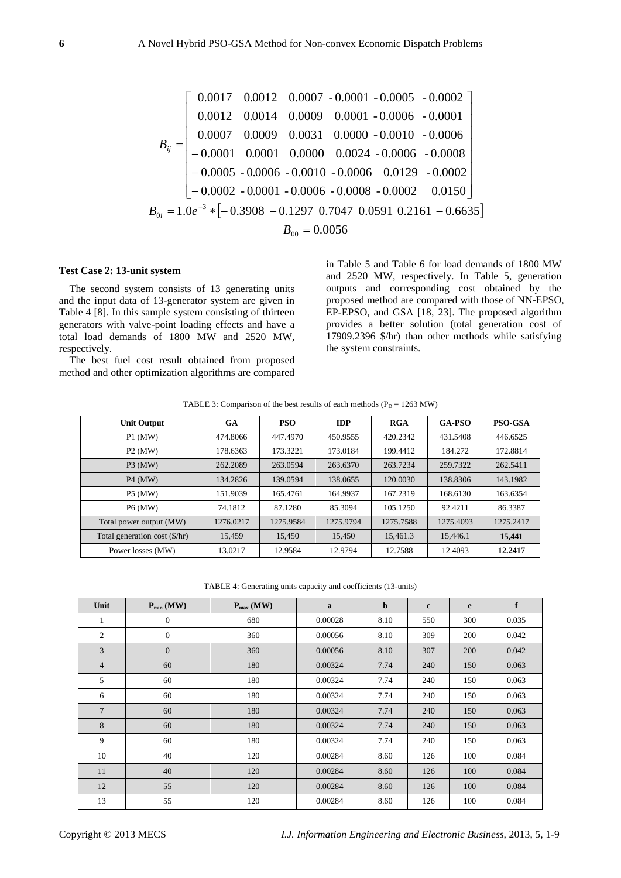$$
B_{ij} = \begin{bmatrix} 0.0017 & 0.0012 & 0.0007 - 0.0001 - 0.0005 & -0.0002 \\ 0.0012 & 0.0014 & 0.0009 & 0.0001 - 0.0006 & -0.0001 \\ 0.0007 & 0.0009 & 0.0031 & 0.0000 - 0.0010 & -0.0006 \\ -0.0001 & 0.0001 & 0.0000 & 0.0024 - 0.0006 & -0.0008 \\ -0.0005 - 0.0006 & -0.0010 - 0.0006 & 0.0129 - 0.0002 \\ -0.0002 - 0.0001 - 0.0006 - 0.0008 - 0.0002 & 0.0150 \\ B_{0i} = 1.0e^{-3} *[-0.3908 - 0.1297 \ 0.7047 \ 0.0591 \ 0.2161 - 0.6635] \\ B_{00} = 0.0056 \end{bmatrix}
$$

### **Test Case 2: 13-unit system**

The second system consists of 13 generating units and the input data of 13-generator system are given in Table 4 [8]. In this sample system consisting of thirteen generators with valve-point loading effects and have a total load demands of 1800 MW and 2520 MW, respectively.

The best fuel cost result obtained from proposed method and other optimization algorithms are compared in Table 5 and Table 6 for load demands of 1800 MW and 2520 MW, respectively. In Table 5, generation outputs and corresponding cost obtained by the proposed method are compared with those of NN-EPSO, EP-EPSO, and GSA [18, 23]. The proposed algorithm provides a better solution (total generation cost of 17909.2396 \$/hr) than other methods while satisfying the system constraints.

| TABLE 3: Comparison of the best results of each methods ( $P_D = 1263$ MW) |  |  |  |
|----------------------------------------------------------------------------|--|--|--|
|----------------------------------------------------------------------------|--|--|--|

| <b>Unit Output</b>            | GA        | <b>PSO</b> | <b>IDP</b> | <b>RGA</b> | <b>GA-PSO</b> | <b>PSO-GSA</b> |
|-------------------------------|-----------|------------|------------|------------|---------------|----------------|
| $P1$ (MW)                     | 474.8066  | 447.4970   | 450.9555   | 420.2342   | 431.5408      | 446.6525       |
| $P2$ (MW)                     | 178.6363  | 173.3221   | 173.0184   | 199.4412   | 184.272       | 172.8814       |
| $P3$ (MW)                     | 262.2089  | 263.0594   | 263.6370   | 263.7234   | 259.7322      | 262.5411       |
| <b>P4 (MW)</b>                | 134.2826  | 139.0594   | 138,0655   | 120,0030   | 138,8306      | 143.1982       |
| <b>P5 (MW)</b>                | 151.9039  | 165.4761   | 164.9937   | 167.2319   | 168.6130      | 163.6354       |
| <b>P6 (MW)</b>                | 74.1812   | 87.1280    | 85.3094    | 105.1250   | 92.4211       | 86.3387        |
| Total power output (MW)       | 1276.0217 | 1275.9584  | 1275.9794  | 1275.7588  | 1275.4093     | 1275.2417      |
| Total generation cost (\$/hr) | 15.459    | 15.450     | 15.450     | 15.461.3   | 15,446.1      | 15,441         |
| Power losses (MW)             | 13.0217   | 12.9584    | 12.9794    | 12.7588    | 12.4093       | 12.2417        |

TABLE 4: Generating units capacity and coefficients (13-units)

| Unit            | $P_{\min}$ (MW)  | $P_{\text{max}}$ (MW) | $\mathbf a$ | $\mathbf b$ | $\mathbf c$ | e   | f     |
|-----------------|------------------|-----------------------|-------------|-------------|-------------|-----|-------|
| 1               | $\mathbf{0}$     | 680                   | 0.00028     | 8.10        | 550         | 300 | 0.035 |
| 2               | $\boldsymbol{0}$ | 360                   | 0.00056     | 8.10        | 309         | 200 | 0.042 |
| 3               | $\boldsymbol{0}$ | 360                   | 0.00056     | 8.10        | 307         | 200 | 0.042 |
| $\overline{4}$  | 60               | 180                   | 0.00324     | 7.74        | 240         | 150 | 0.063 |
| 5               | 60               | 180                   | 0.00324     | 7.74        | 240         | 150 | 0.063 |
| 6               | 60               | 180                   | 0.00324     | 7.74        | 240         | 150 | 0.063 |
| $7\phantom{.0}$ | 60               | 180                   | 0.00324     | 7.74        | 240         | 150 | 0.063 |
| 8               | 60               | 180                   | 0.00324     | 7.74        | 240         | 150 | 0.063 |
| 9               | 60               | 180                   | 0.00324     | 7.74        | 240         | 150 | 0.063 |
| 10              | 40               | 120                   | 0.00284     | 8.60        | 126         | 100 | 0.084 |
| 11              | 40               | 120                   | 0.00284     | 8.60        | 126         | 100 | 0.084 |
| 12              | 55               | 120                   | 0.00284     | 8.60        | 126         | 100 | 0.084 |
| 13              | 55               | 120                   | 0.00284     | 8.60        | 126         | 100 | 0.084 |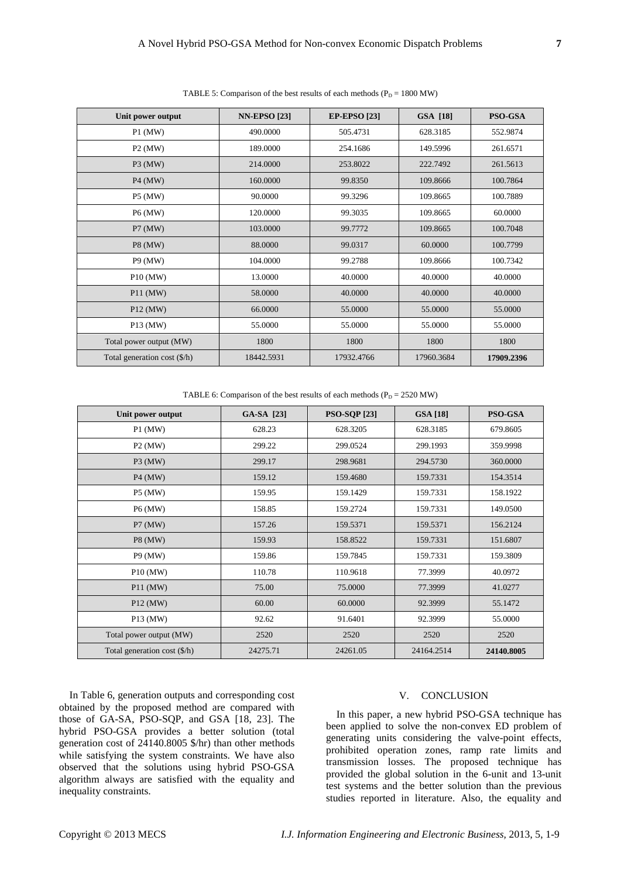| Unit power output                     | <b>NN-EPSO [23]</b> | <b>EP-EPSO</b> [23] | <b>GSA</b> [18] | <b>PSO-GSA</b> |
|---------------------------------------|---------------------|---------------------|-----------------|----------------|
| $P1$ (MW)                             | 490,0000            | 505.4731            | 628.3185        | 552.9874       |
| $P2$ (MW)                             | 189.0000            | 254.1686            | 149.5996        | 261.6571       |
| $P3$ (MW)                             | 214.0000            | 253.8022            | 222.7492        | 261.5613       |
| $P4$ (MW)                             | 160.0000            | 99.8350             | 109.8666        | 100.7864       |
| <b>P5 (MW)</b>                        | 90.0000             | 99.3296             | 109.8665        | 100.7889       |
| P6 (MW)                               | 120,0000            | 99.3035             | 109.8665        | 60.0000        |
| P7 (MW)                               | 103,0000            | 99.7772             | 109.8665        | 100.7048       |
| <b>P8</b> (MW)                        | 88.0000             | 99.0317             | 60.0000         | 100.7799       |
| <b>P9 (MW)</b>                        | 104.0000            | 99.2788             | 109.8666        | 100.7342       |
| P10 (MW)                              | 13.0000             | 40.0000             | 40.0000         | 40.0000        |
| $P11$ (MW)                            | 58.0000             | 40.0000             | 40.0000         | 40.0000        |
| $P12$ (MW)                            | 66.0000             | 55.0000             | 55.0000         | 55.0000        |
| P13 (MW)                              | 55.0000             | 55.0000             | 55.0000         | 55.0000        |
| Total power output (MW)               | 1800                | 1800                | 1800            | 1800           |
| Total generation cost $(\frac{5}{h})$ | 18442.5931          | 17932.4766          | 17960.3684      | 17909.2396     |
|                                       |                     |                     |                 |                |

TABLE 5: Comparison of the best results of each methods ( $P_D = 1800$  MW)

TABLE 6: Comparison of the best results of each methods ( $P_D = 2520$  MW)

| Unit power output                     | GA-SA [23] | <b>PSO-SQP</b> [23] | <b>GSA</b> [18] | PSO-GSA    |
|---------------------------------------|------------|---------------------|-----------------|------------|
| $P1$ (MW)                             | 628.23     | 628.3205            | 628.3185        | 679.8605   |
| $P2$ (MW)                             | 299.22     | 299.0524            | 299.1993        | 359.9998   |
| $P3$ (MW)                             | 299.17     | 298.9681            | 294.5730        | 360.0000   |
| $P4$ (MW)                             | 159.12     | 159.4680            | 159.7331        | 154.3514   |
| P5 (MW)                               | 159.95     | 159.1429            | 159.7331        | 158.1922   |
| P6 (MW)                               | 158.85     | 159.2724            | 159.7331        | 149.0500   |
| P7 (MW)                               | 157.26     | 159.5371            | 159.5371        | 156.2124   |
| <b>P8</b> (MW)                        | 159.93     | 158.8522            | 159.7331        | 151.6807   |
| <b>P9 (MW)</b>                        | 159.86     | 159.7845            | 159.7331        | 159.3809   |
| P <sub>10</sub> (MW)                  | 110.78     | 110.9618            | 77.3999         | 40.0972    |
| $P11$ (MW)                            | 75.00      | 75.0000             | 77.3999         | 41.0277    |
| P <sub>12</sub> (MW)                  | 60.00      | 60.0000             | 92.3999         | 55.1472    |
| P13 (MW)                              | 92.62      | 91.6401             | 92.3999         | 55.0000    |
| Total power output (MW)               | 2520       | 2520                | 2520            | 2520       |
| Total generation cost $(\frac{6}{h})$ | 24275.71   | 24261.05            | 24164.2514      | 24140.8005 |

In Table 6, generation outputs and corresponding cost obtained by the proposed method are compared with those of GA-SA, PSO-SQP, and GSA [18, 23]. The hybrid PSO-GSA provides a better solution (total generation cost of 24140.8005 \$/hr) than other methods while satisfying the system constraints. We have also observed that the solutions using hybrid PSO-GSA algorithm always are satisfied with the equality and inequality constraints.

# V. CONCLUSION

In this paper, a new hybrid PSO-GSA technique has been applied to solve the non-convex ED problem of generating units considering the valve-point effects, prohibited operation zones, ramp rate limits and transmission losses. The proposed technique has provided the global solution in the 6-unit and 13-unit test systems and the better solution than the previous studies reported in literature. Also, the equality and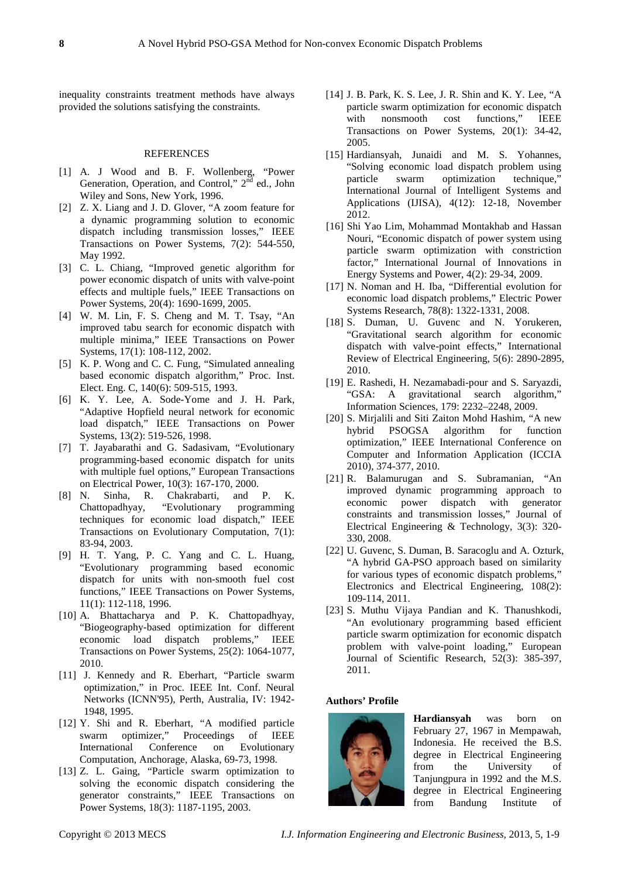inequality constraints treatment methods have always provided the solutions satisfying the constraints.

#### REFERENCES

- [1] A. J Wood and B. F. Wollenberg, "Power Generation, Operation, and Control," 2<sup>nd</sup> ed., John Wiley and Sons, New York, 1996.
- [2] Z. X. Liang and J. D. Glover, "A zoom feature for a dynamic programming solution to economic dispatch including transmission losses," IEEE Transactions on Power Systems, 7(2): 544-550, May 1992.
- [3] C. L. Chiang, "Improved genetic algorithm for power economic dispatch of units with valve-point effects and multiple fuels," IEEE Transactions on Power Systems, 20(4): 1690-1699, 2005.
- [4] W. M. Lin, F. S. Cheng and M. T. Tsay, "An improved tabu search for economic dispatch with multiple minima," IEEE Transactions on Power Systems, 17(1): 108-112, 2002.
- [5] K. P. Wong and C. C. Fung, "Simulated annealing based economic dispatch algorithm," Proc. Inst. Elect. Eng. C, 140(6): 509-515, 1993.
- [6] K. Y. Lee, A. Sode-Yome and J. H. Park, "Adaptive Hopfield neural network for economic load dispatch," IEEE Transactions on Power Systems, 13(2): 519-526, 1998.
- [7] T. Jayabarathi and G. Sadasivam, "Evolutionary programming-based economic dispatch for units with multiple fuel options," European Transactions on Electrical Power, 10(3): 167-170, 2000.<br>[8] N. Sinha, R. Chakrabarti, and P.
- Sinha, R. Chakrabarti, and P. K. Chattopadhyay, "Evolutionary programming techniques for economic load dispatch," IEEE Transactions on Evolutionary Computation, 7(1): 83-94, 2003.
- [9] H. T. Yang, P. C. Yang and C. L. Huang, "Evolutionary programming based economic dispatch for units with non-smooth fuel cost functions," IEEE Transactions on Power Systems, 11(1): 112-118, 1996.
- [10] A. Bhattacharya and P. K. Chattopadhyay, "Biogeography-based optimization for different economic load dispatch problems," IEEE Transactions on Power Systems, 25(2): 1064-1077, 2010.
- [11] J. Kennedy and R. Eberhart, "Particle swarm optimization," in Proc. IEEE Int. Conf. Neural Networks (ICNN'95), Perth, Australia, IV: 1942- 1948, 1995.
- [12] Y. Shi and R. Eberhart, "A modified particle swarm optimizer," Proceedings of IEEE<br>International Conference on Evolutionary International Conference on Computation, Anchorage, Alaska, 69-73, 1998.
- [13] Z. L. Gaing, "Particle swarm optimization to solving the economic dispatch considering the generator constraints," IEEE Transactions on Power Systems, 18(3): 1187-1195, 2003.
- [14] J. B. Park, K. S. Lee, J. R. Shin and K. Y. Lee, "A particle swarm optimization for economic dispatch<br>with nonsmooth cost functions." IEEE nonsmooth cost functions," Transactions on Power Systems, 20(1): 34-42, 2005.
- [15] Hardiansyah, Junaidi and M. S. Yohannes, "Solving economic load dispatch problem using particle swarm optimization technique," International Journal of Intelligent Systems and Applications (IJISA), 4(12): 12-18, November 2012.
- [16] Shi Yao Lim, Mohammad Montakhab and Hassan Nouri, "Economic dispatch of power system using particle swarm optimization with constriction factor," International Journal of Innovations in Energy Systems and Power, 4(2): 29-34, 2009.
- [17] N. Noman and H. Iba, "Differential evolution for economic load dispatch problems," Electric Power Systems Research, 78(8): 1322-1331, 2008.
- [18] S. Duman, U. Guvenc and N. Yorukeren, "Gravitational search algorithm for economic dispatch with valve-point effects," International Review of Electrical Engineering, 5(6): 2890-2895, 2010.
- [19] E. Rashedi, H. Nezamabadi-pour and S. Saryazdi, "GSA: A gravitational search algorithm," Information Sciences, 179: 2232–2248, 2009.
- [20] S. Mirjalili and Siti Zaiton Mohd Hashim, "A new hybrid PSOGSA algorithm for function optimization," IEEE International Conference on Computer and Information Application (ICCIA 2010), 374-377, 2010.
- [21] R. Balamurugan and S. Subramanian, "An improved dynamic programming approach to economic power dispatch with generator constraints and transmission losses," Journal of Electrical Engineering & Technology, 3(3): 320- 330, 2008.
- [22] U. Guvenc, S. Duman, B. Saracoglu and A. Ozturk, "A hybrid GA-PSO approach based on similarity for various types of economic dispatch problems," Electronics and Electrical Engineering, 108(2): 109-114, 2011.
- [23] S. Muthu Vijaya Pandian and K. Thanushkodi, "An evolutionary programming based efficient particle swarm optimization for economic dispatch problem with valve-point loading," European Journal of Scientific Research, 52(3): 385-397, 2011.

## **Authors' Profile**



**Hardiansyah** was born on February 27, 1967 in Mempawah, Indonesia. He received the B.S. degree in Electrical Engineering from the University of Tanjungpura in 1992 and the M.S. degree in Electrical Engineering from Bandung Institute of